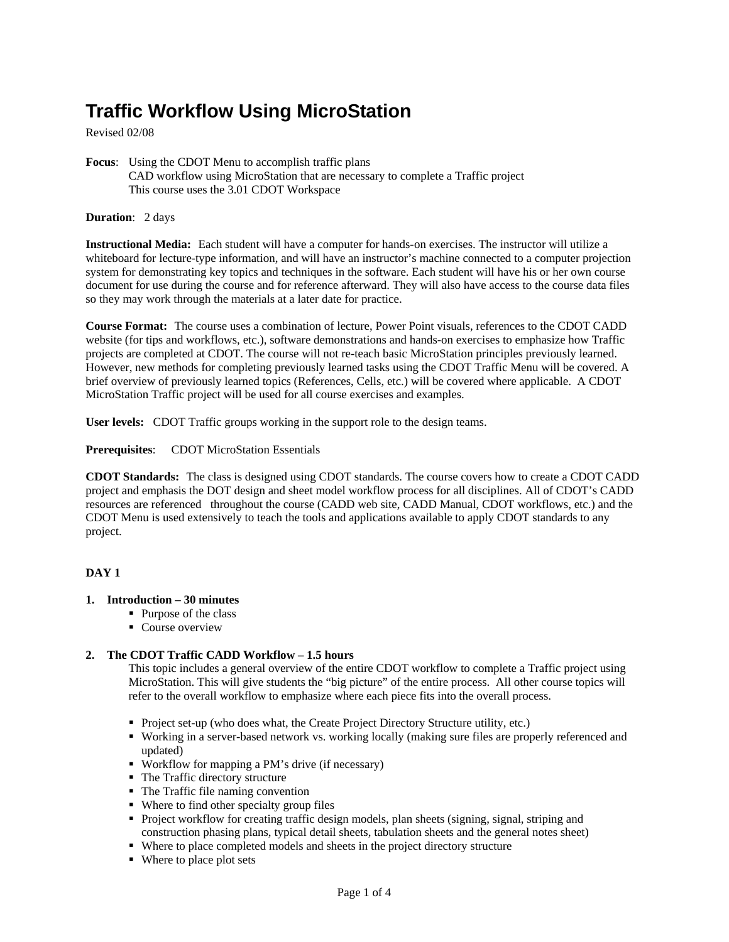# **Traffic Workflow Using MicroStation**

Revised 02/08

**Focus**: Using the CDOT Menu to accomplish traffic plans CAD workflow using MicroStation that are necessary to complete a Traffic project This course uses the 3.01 CDOT Workspace

#### **Duration**: 2 days

**Instructional Media:** Each student will have a computer for hands-on exercises. The instructor will utilize a whiteboard for lecture-type information, and will have an instructor's machine connected to a computer projection system for demonstrating key topics and techniques in the software. Each student will have his or her own course document for use during the course and for reference afterward. They will also have access to the course data files so they may work through the materials at a later date for practice.

**Course Format:** The course uses a combination of lecture, Power Point visuals, references to the CDOT CADD website (for tips and workflows, etc.), software demonstrations and hands-on exercises to emphasize how Traffic projects are completed at CDOT. The course will not re-teach basic MicroStation principles previously learned. However, new methods for completing previously learned tasks using the CDOT Traffic Menu will be covered. A brief overview of previously learned topics (References, Cells, etc.) will be covered where applicable. A CDOT MicroStation Traffic project will be used for all course exercises and examples.

**User levels:** CDOT Traffic groups working in the support role to the design teams.

**Prerequisites**: CDOT MicroStation Essentials

**CDOT Standards:** The class is designed using CDOT standards. The course covers how to create a CDOT CADD project and emphasis the DOT design and sheet model workflow process for all disciplines. All of CDOT's CADD resources are referenced throughout the course (CADD web site, CADD Manual, CDOT workflows, etc.) and the CDOT Menu is used extensively to teach the tools and applications available to apply CDOT standards to any project.

## **DAY 1**

## **1. Introduction – 30 minutes**

- Purpose of the class
	- Course overview

## **2. The CDOT Traffic CADD Workflow – 1.5 hours**

This topic includes a general overview of the entire CDOT workflow to complete a Traffic project using MicroStation. This will give students the "big picture" of the entire process. All other course topics will refer to the overall workflow to emphasize where each piece fits into the overall process.

- Project set-up (who does what, the Create Project Directory Structure utility, etc.)
- Working in a server-based network vs. working locally (making sure files are properly referenced and updated)
- Workflow for mapping a PM's drive (if necessary)
- The Traffic directory structure
- The Traffic file naming convention
- Where to find other specialty group files
- Project workflow for creating traffic design models, plan sheets (signing, signal, striping and construction phasing plans, typical detail sheets, tabulation sheets and the general notes sheet)
- Where to place completed models and sheets in the project directory structure
- Where to place plot sets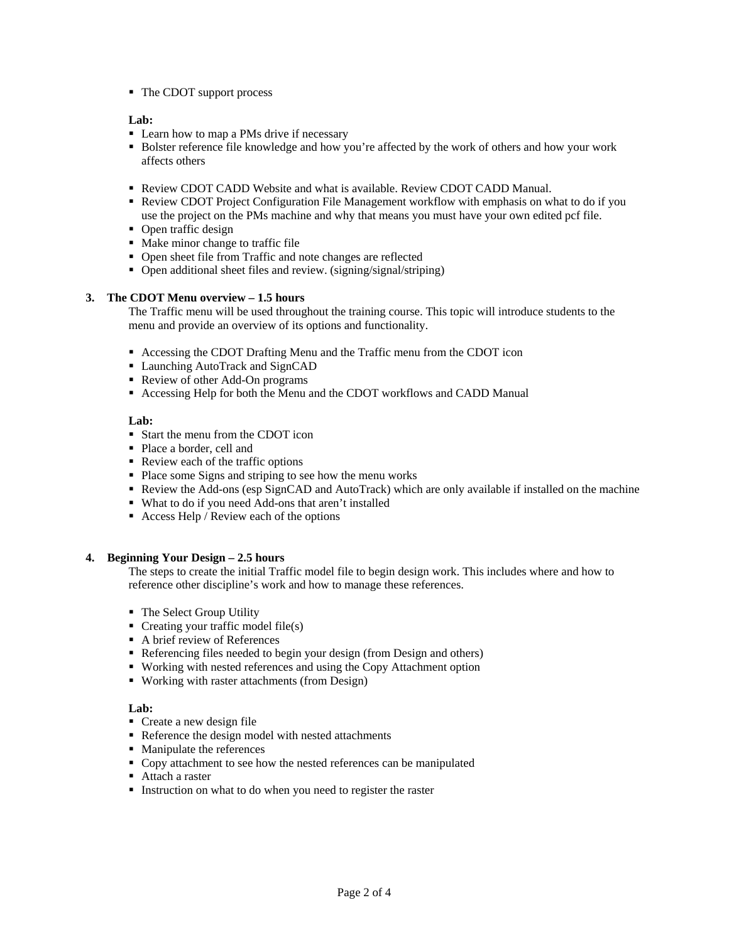■ The CDOT support process

## **Lab:**

- Learn how to map a PMs drive if necessary
- Bolster reference file knowledge and how you're affected by the work of others and how your work affects others
- Review CDOT CADD Website and what is available. Review CDOT CADD Manual.
- **-** Review CDOT Project Configuration File Management workflow with emphasis on what to do if you use the project on the PMs machine and why that means you must have your own edited pcf file.
- Open traffic design
- Make minor change to traffic file
- Open sheet file from Traffic and note changes are reflected
- Open additional sheet files and review. (signing/signal/striping)

## **3. The CDOT Menu overview – 1.5 hours**

The Traffic menu will be used throughout the training course. This topic will introduce students to the menu and provide an overview of its options and functionality.

- Accessing the CDOT Drafting Menu and the Traffic menu from the CDOT icon
- Launching AutoTrack and SignCAD
- Review of other Add-On programs
- Accessing Help for both the Menu and the CDOT workflows and CADD Manual

## **Lab:**

- Start the menu from the CDOT icon
- Place a border, cell and
- Review each of the traffic options
- Place some Signs and striping to see how the menu works
- Review the Add-ons (esp SignCAD and AutoTrack) which are only available if installed on the machine
- What to do if you need Add-ons that aren't installed
- $\blacksquare$  Access Help / Review each of the options

## **4. Beginning Your Design – 2.5 hours**

The steps to create the initial Traffic model file to begin design work. This includes where and how to reference other discipline's work and how to manage these references.

- The Select Group Utility
- $\blacksquare$  Creating your traffic model file(s)
- A brief review of References
- Referencing files needed to begin your design (from Design and others)
- Working with nested references and using the Copy Attachment option
- Working with raster attachments (from Design)

# **Lab:**

- Create a new design file
- Reference the design model with nested attachments
- Manipulate the references
- Copy attachment to see how the nested references can be manipulated
- Attach a raster
- Instruction on what to do when you need to register the raster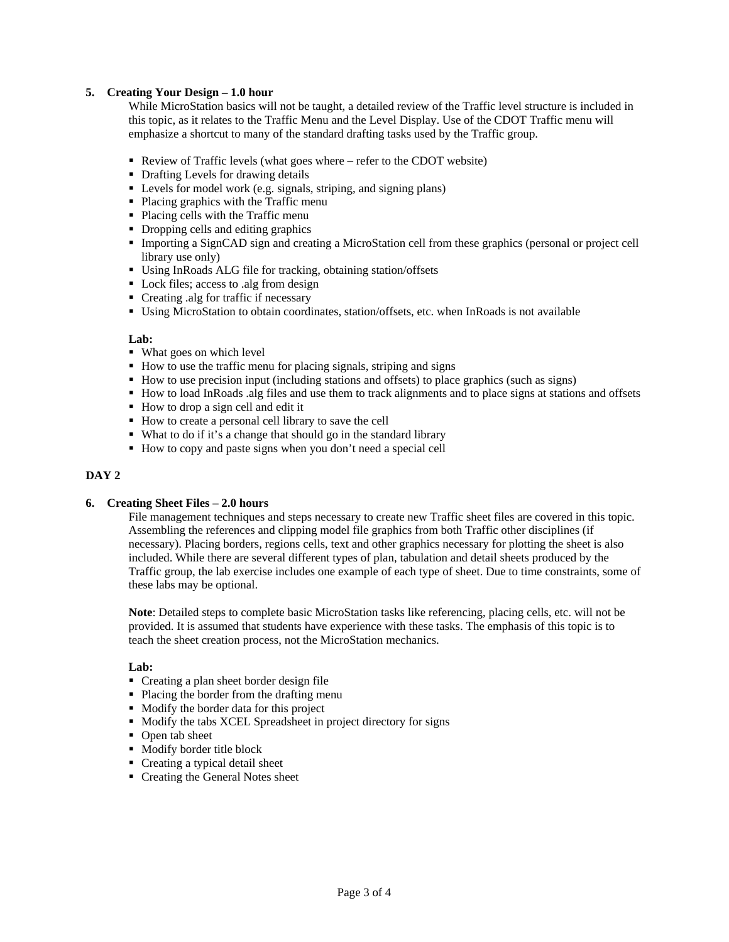## **5. Creating Your Design – 1.0 hour**

While MicroStation basics will not be taught, a detailed review of the Traffic level structure is included in this topic, as it relates to the Traffic Menu and the Level Display. Use of the CDOT Traffic menu will emphasize a shortcut to many of the standard drafting tasks used by the Traffic group.

- Review of Traffic levels (what goes where refer to the CDOT website)
- Drafting Levels for drawing details
- Levels for model work (e.g. signals, striping, and signing plans)
- Placing graphics with the Traffic menu
- Placing cells with the Traffic menu
- Dropping cells and editing graphics
- Importing a SignCAD sign and creating a MicroStation cell from these graphics (personal or project cell library use only)
- Using InRoads ALG file for tracking, obtaining station/offsets
- Lock files; access to .alg from design
- Creating .alg for traffic if necessary
- Using MicroStation to obtain coordinates, station/offsets, etc. when InRoads is not available

#### **Lab:**

- What goes on which level
- How to use the traffic menu for placing signals, striping and signs
- How to use precision input (including stations and offsets) to place graphics (such as signs)
- How to load InRoads .alg files and use them to track alignments and to place signs at stations and offsets
- How to drop a sign cell and edit it
- How to create a personal cell library to save the cell
- What to do if it's a change that should go in the standard library
- How to copy and paste signs when you don't need a special cell

#### **DAY 2**

#### **6. Creating Sheet Files – 2.0 hours**

File management techniques and steps necessary to create new Traffic sheet files are covered in this topic. Assembling the references and clipping model file graphics from both Traffic other disciplines (if necessary). Placing borders, regions cells, text and other graphics necessary for plotting the sheet is also included. While there are several different types of plan, tabulation and detail sheets produced by the Traffic group, the lab exercise includes one example of each type of sheet. Due to time constraints, some of these labs may be optional.

**Note**: Detailed steps to complete basic MicroStation tasks like referencing, placing cells, etc. will not be provided. It is assumed that students have experience with these tasks. The emphasis of this topic is to teach the sheet creation process, not the MicroStation mechanics.

## **Lab:**

- Creating a plan sheet border design file
- Placing the border from the drafting menu
- Modify the border data for this project
- Modify the tabs XCEL Spreadsheet in project directory for signs
- Open tab sheet
- Modify border title block
- Creating a typical detail sheet
- Creating the General Notes sheet